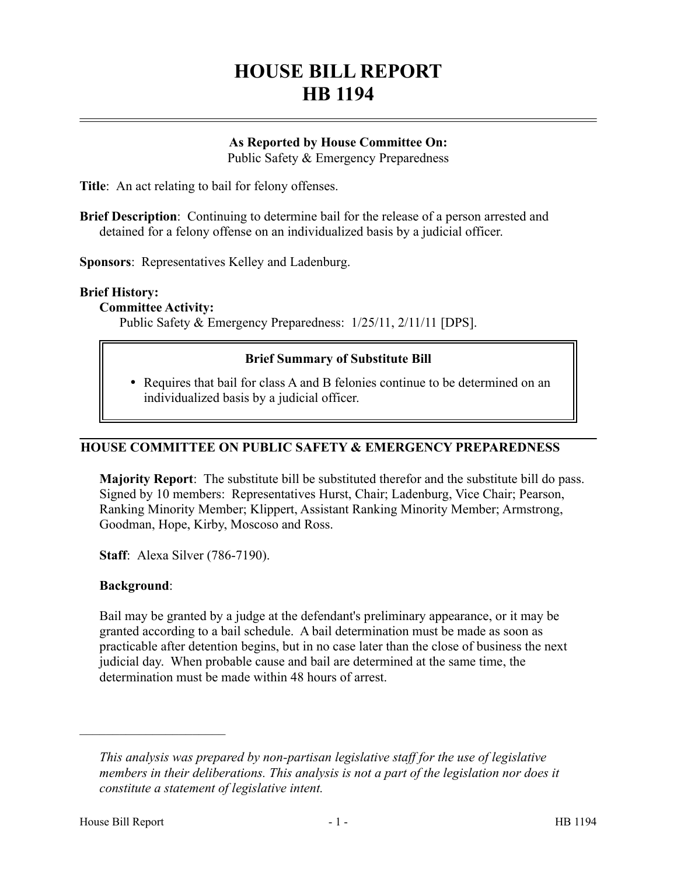# **HOUSE BILL REPORT HB 1194**

# **As Reported by House Committee On:**

Public Safety & Emergency Preparedness

**Title**: An act relating to bail for felony offenses.

**Brief Description**: Continuing to determine bail for the release of a person arrested and detained for a felony offense on an individualized basis by a judicial officer.

**Sponsors**: Representatives Kelley and Ladenburg.

# **Brief History:**

**Committee Activity:**

Public Safety & Emergency Preparedness: 1/25/11, 2/11/11 [DPS].

# **Brief Summary of Substitute Bill**

 Requires that bail for class A and B felonies continue to be determined on an individualized basis by a judicial officer.

# **HOUSE COMMITTEE ON PUBLIC SAFETY & EMERGENCY PREPAREDNESS**

**Majority Report**: The substitute bill be substituted therefor and the substitute bill do pass. Signed by 10 members: Representatives Hurst, Chair; Ladenburg, Vice Chair; Pearson, Ranking Minority Member; Klippert, Assistant Ranking Minority Member; Armstrong, Goodman, Hope, Kirby, Moscoso and Ross.

**Staff**: Alexa Silver (786-7190).

#### **Background**:

––––––––––––––––––––––

Bail may be granted by a judge at the defendant's preliminary appearance, or it may be granted according to a bail schedule. A bail determination must be made as soon as practicable after detention begins, but in no case later than the close of business the next judicial day. When probable cause and bail are determined at the same time, the determination must be made within 48 hours of arrest.

*This analysis was prepared by non-partisan legislative staff for the use of legislative members in their deliberations. This analysis is not a part of the legislation nor does it constitute a statement of legislative intent.*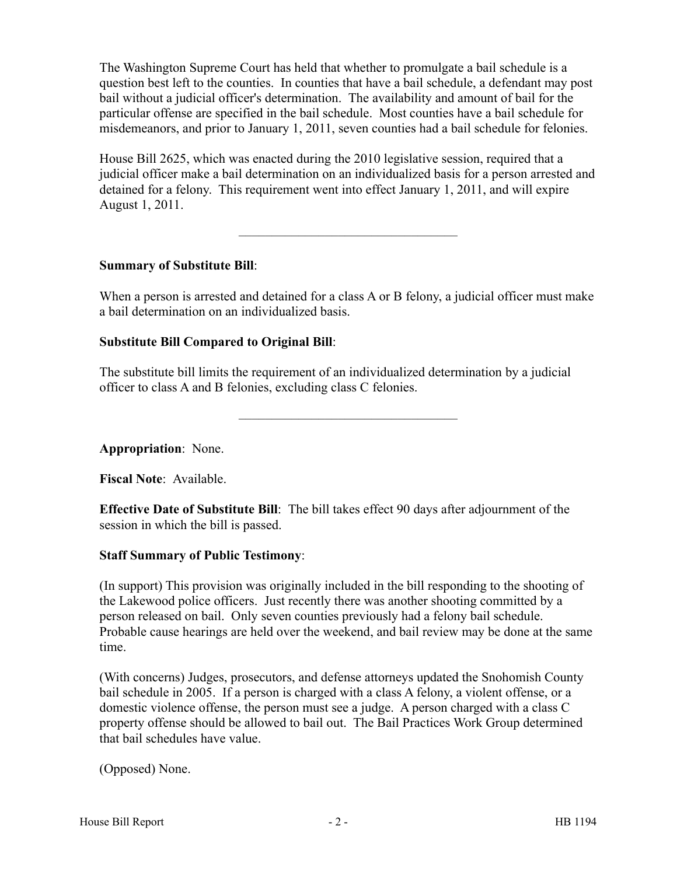The Washington Supreme Court has held that whether to promulgate a bail schedule is a question best left to the counties. In counties that have a bail schedule, a defendant may post bail without a judicial officer's determination. The availability and amount of bail for the particular offense are specified in the bail schedule. Most counties have a bail schedule for misdemeanors, and prior to January 1, 2011, seven counties had a bail schedule for felonies.

House Bill 2625, which was enacted during the 2010 legislative session, required that a judicial officer make a bail determination on an individualized basis for a person arrested and detained for a felony. This requirement went into effect January 1, 2011, and will expire August 1, 2011.

–––––––––––––––––––––––––––––––––

#### **Summary of Substitute Bill**:

When a person is arrested and detained for a class A or B felony, a judicial officer must make a bail determination on an individualized basis.

#### **Substitute Bill Compared to Original Bill**:

The substitute bill limits the requirement of an individualized determination by a judicial officer to class A and B felonies, excluding class C felonies.

–––––––––––––––––––––––––––––––––

**Appropriation**: None.

**Fiscal Note**: Available.

**Effective Date of Substitute Bill**: The bill takes effect 90 days after adjournment of the session in which the bill is passed.

#### **Staff Summary of Public Testimony**:

(In support) This provision was originally included in the bill responding to the shooting of the Lakewood police officers. Just recently there was another shooting committed by a person released on bail. Only seven counties previously had a felony bail schedule. Probable cause hearings are held over the weekend, and bail review may be done at the same time.

(With concerns) Judges, prosecutors, and defense attorneys updated the Snohomish County bail schedule in 2005. If a person is charged with a class A felony, a violent offense, or a domestic violence offense, the person must see a judge. A person charged with a class C property offense should be allowed to bail out. The Bail Practices Work Group determined that bail schedules have value.

(Opposed) None.